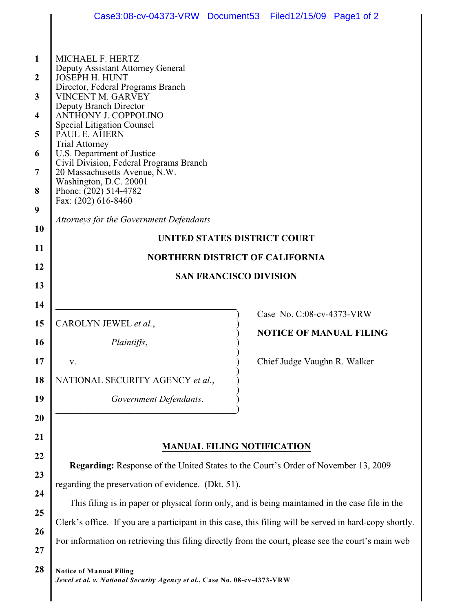| 1<br>$\overline{2}$<br>3<br>$\overline{\mathbf{4}}$<br>5<br>6<br>7<br>8<br>9<br>10<br>11<br>12<br>13<br>14<br>15 | Case3:08-cv-04373-VRW Document53 Filed12/15/09 Page1 of 2<br>MICHAEL F. HERTZ<br>Deputy Assistant Attorney General<br><b>JOSEPH H. HUNT</b><br>Director, Federal Programs Branch<br>VINCENT M. GARVEY<br>Deputy Branch Director<br><b>ANTHONY J. COPPOLINO</b><br><b>Special Litigation Counsel</b><br>PAUL E. AHERN<br><b>Trial Attorney</b><br>U.S. Department of Justice<br>Civil Division, Federal Programs Branch<br>20 Massachusetts Avenue, N.W.<br>Washington, D.C. 20001<br>Phone: (202) 514-4782<br>Fax: (202) 616-8460<br>Attorneys for the Government Defendants<br>UNITED STATES DISTRICT COURT<br><b>NORTHERN DISTRICT OF CALIFORNIA</b><br><b>SAN FRANCISCO DIVISION</b><br>Case No. C:08-cv-4373-VRW<br>CAROLYN JEWEL et al., |  |                                                                |  |  |
|------------------------------------------------------------------------------------------------------------------|-----------------------------------------------------------------------------------------------------------------------------------------------------------------------------------------------------------------------------------------------------------------------------------------------------------------------------------------------------------------------------------------------------------------------------------------------------------------------------------------------------------------------------------------------------------------------------------------------------------------------------------------------------------------------------------------------------------------------------------------------|--|----------------------------------------------------------------|--|--|
| 16                                                                                                               | <i>Plaintiffs,</i>                                                                                                                                                                                                                                                                                                                                                                                                                                                                                                                                                                                                                                                                                                                            |  | <b>NOTICE OF MANUAL FILING</b><br>Chief Judge Vaughn R. Walker |  |  |
| 17<br>18                                                                                                         | V.<br>NATIONAL SECURITY AGENCY et al.,                                                                                                                                                                                                                                                                                                                                                                                                                                                                                                                                                                                                                                                                                                        |  |                                                                |  |  |
| 19                                                                                                               | Government Defendants.                                                                                                                                                                                                                                                                                                                                                                                                                                                                                                                                                                                                                                                                                                                        |  |                                                                |  |  |
| 20                                                                                                               |                                                                                                                                                                                                                                                                                                                                                                                                                                                                                                                                                                                                                                                                                                                                               |  |                                                                |  |  |
| 21                                                                                                               |                                                                                                                                                                                                                                                                                                                                                                                                                                                                                                                                                                                                                                                                                                                                               |  |                                                                |  |  |
| 22                                                                                                               | <b>MANUAL FILING NOTIFICATION</b>                                                                                                                                                                                                                                                                                                                                                                                                                                                                                                                                                                                                                                                                                                             |  |                                                                |  |  |
| 23                                                                                                               | Regarding: Response of the United States to the Court's Order of November 13, 2009                                                                                                                                                                                                                                                                                                                                                                                                                                                                                                                                                                                                                                                            |  |                                                                |  |  |
| 24                                                                                                               | regarding the preservation of evidence. (Dkt. 51).                                                                                                                                                                                                                                                                                                                                                                                                                                                                                                                                                                                                                                                                                            |  |                                                                |  |  |
| 25                                                                                                               | This filing is in paper or physical form only, and is being maintained in the case file in the<br>Clerk's office. If you are a participant in this case, this filing will be served in hard-copy shortly.                                                                                                                                                                                                                                                                                                                                                                                                                                                                                                                                     |  |                                                                |  |  |
| 26                                                                                                               |                                                                                                                                                                                                                                                                                                                                                                                                                                                                                                                                                                                                                                                                                                                                               |  |                                                                |  |  |
| 27                                                                                                               | For information on retrieving this filing directly from the court, please see the court's main web                                                                                                                                                                                                                                                                                                                                                                                                                                                                                                                                                                                                                                            |  |                                                                |  |  |
| 28                                                                                                               | <b>Notice of Manual Filing</b><br>Jewel et al. v. National Security Agency et al., Case No. 08-cv-4373-VRW                                                                                                                                                                                                                                                                                                                                                                                                                                                                                                                                                                                                                                    |  |                                                                |  |  |